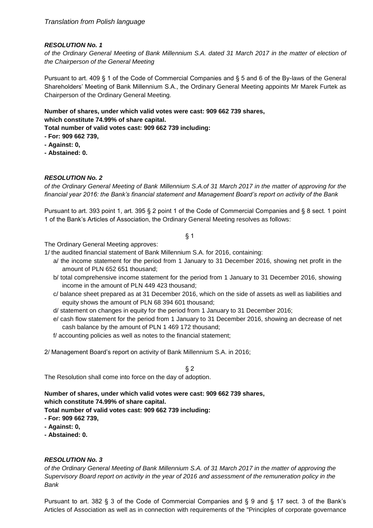*of the Ordinary General Meeting of Bank Millennium S.A. dated 31 March 2017 in the matter of election of the Chairperson of the General Meeting*

Pursuant to art. 409 § 1 of the Code of Commercial Companies and § 5 and 6 of the By-laws of the General Shareholders' Meeting of Bank Millennium S.A., the Ordinary General Meeting appoints Mr Marek Furtek as Chairperson of the Ordinary General Meeting.

**Number of shares, under which valid votes were cast: 909 662 739 shares, which constitute 74.99% of share capital.**

**Total number of valid votes cast: 909 662 739 including:**

- **- For: 909 662 739,**
- **- Against: 0,**
- **- Abstained: 0.**

## *RESOLUTION No. 2*

*of the Ordinary General Meeting of Bank Millennium S.A.of 31 March 2017 in the matter of approving for the financial year 2016: the Bank's financial statement and Management Board's report on activity of the Bank* 

Pursuant to art. 393 point 1, art. 395 § 2 point 1 of the Code of Commercial Companies and § 8 sect. 1 point 1 of the Bank's Articles of Association, the Ordinary General Meeting resolves as follows:

#### § 1

The Ordinary General Meeting approves:

- 1/ the audited financial statement of Bank Millennium S.A. for 2016, containing:
	- a/ the income statement for the period from 1 January to 31 December 2016, showing net profit in the amount of PLN 652 651 thousand;
	- b/ total comprehensive income statement for the period from 1 January to 31 December 2016, showing income in the amount of PLN 449 423 thousand;
	- c/ balance sheet prepared as at 31 December 2016, which on the side of assets as well as liabilities and equity shows the amount of PLN 68 394 601 thousand;
	- d/ statement on changes in equity for the period from 1 January to 31 December 2016;
	- e/ cash flow statement for the period from 1 January to 31 December 2016, showing an decrease of net cash balance by the amount of PLN 1 469 172 thousand;
	- f/ accounting policies as well as notes to the financial statement;

2/ Management Board's report on activity of Bank Millennium S.A. in 2016;

 $§$  2 The Resolution shall come into force on the day of adoption.

**Number of shares, under which valid votes were cast: 909 662 739 shares, which constitute 74.99% of share capital.**

**Total number of valid votes cast: 909 662 739 including:**

- **- For: 909 662 739,**
- **- Against: 0,**
- **- Abstained: 0.**

### *RESOLUTION No. 3*

*of the Ordinary General Meeting of Bank Millennium S.A. of 31 March 2017 in the matter of approving the Supervisory Board report on activity in the year of 2016 and assessment of the remuneration policy in the Bank*

Pursuant to art. 382 § 3 of the Code of Commercial Companies and § 9 and § 17 sect. 3 of the Bank's Articles of Association as well as in connection with requirements of the "Principles of corporate governance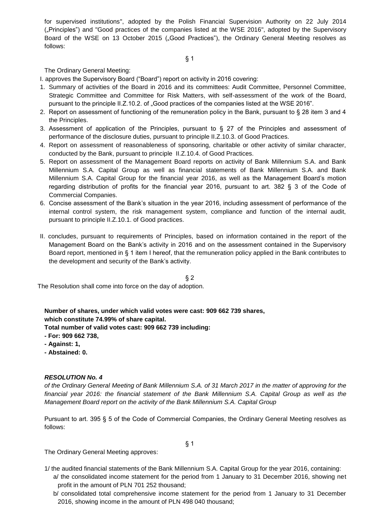for supervised institutions", adopted by the Polish Financial Supervision Authority on 22 July 2014 ("Principles") and "Good practices of the companies listed at the WSE 2016", adopted by the Supervisory Board of the WSE on 13 October 2015 ("Good Practices"), the Ordinary General Meeting resolves as follows:

### The Ordinary General Meeting:

I. approves the Supervisory Board ("Board") report on activity in 2016 covering:

- 1. Summary of activities of the Board in 2016 and its committees: Audit Committee, Personnel Committee, Strategic Committee and Committee for Risk Matters, with self-assessment of the work of the Board, pursuant to the principle II.Z.10.2. of .Good practices of the companies listed at the WSE 2016".
- 2. Report on assessment of functioning of the remuneration policy in the Bank, pursuant to § 28 item 3 and 4 the Principles.
- 3. Assessment of application of the Principles, pursuant to  $\S$  27 of the Principles and assessment of performance of the disclosure duties, pursuant to principle II.Z.10.3. of Good Practices.
- 4. Report on assessment of reasonableness of sponsoring, charitable or other activity of similar character, conducted by the Bank, pursuant to principle II.Z.10.4. of Good Practices.
- 5. Report on assessment of the Management Board reports on activity of Bank Millennium S.A. and Bank Millennium S.A. Capital Group as well as financial statements of Bank Millennium S.A. and Bank Millennium S.A. Capital Group for the financial year 2016, as well as the Management Board's motion regarding distribution of profits for the financial year 2016, pursuant to art. 382 § 3 of the Code of Commercial Companies.
- 6. Concise assessment of the Bank's situation in the year 2016, including assessment of performance of the internal control system, the risk management system, compliance and function of the internal audit, pursuant to principle II.Z.10.1. of Good practices.
- II. concludes, pursuant to requirements of Principles, based on information contained in the report of the Management Board on the Bank's activity in 2016 and on the assessment contained in the Supervisory Board report, mentioned in § 1 item I hereof, that the remuneration policy applied in the Bank contributes to the development and security of the Bank's activity.

 $§$  2 The Resolution shall come into force on the day of adoption.

**Number of shares, under which valid votes were cast: 909 662 739 shares, which constitute 74.99% of share capital. Total number of valid votes cast: 909 662 739 including:**

- **- For: 909 662 738,**
- **- Against: 1,**
- **- Abstained: 0.**

### *RESOLUTION No. 4*

*of the Ordinary General Meeting of Bank Millennium S.A. of 31 March 2017 in the matter of approving for the financial year 2016: the financial statement of the Bank Millennium S.A. Capital Group as well as the Management Board report on the activity of the Bank Millennium S.A. Capital Group*

Pursuant to art. 395 § 5 of the Code of Commercial Companies, the Ordinary General Meeting resolves as follows:

§ 1

The Ordinary General Meeting approves:

- 1/ the audited financial statements of the Bank Millennium S.A. Capital Group for the year 2016, containing: a/ the consolidated income statement for the period from 1 January to 31 December 2016, showing net profit in the amount of PLN 701 252 thousand;
	- b/ consolidated total comprehensive income statement for the period from 1 January to 31 December 2016, showing income in the amount of PLN 498 040 thousand;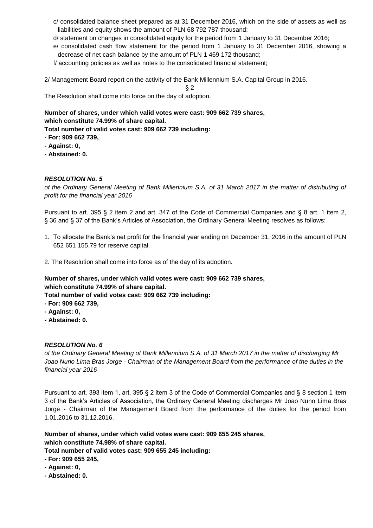- c/ consolidated balance sheet prepared as at 31 December 2016, which on the side of assets as well as liabilities and equity shows the amount of PLN 68 792 787 thousand;
- d/ statement on changes in consolidated equity for the period from 1 January to 31 December 2016;
- e/ consolidated cash flow statement for the period from 1 January to 31 December 2016, showing a decrease of net cash balance by the amount of PLN 1 469 172 thousand;
- f/ accounting policies as well as notes to the consolidated financial statement;

2/ Management Board report on the activity of the Bank Millennium S.A. Capital Group in 2016.

§ 2

The Resolution shall come into force on the day of adoption.

**Number of shares, under which valid votes were cast: 909 662 739 shares, which constitute 74.99% of share capital.**

**Total number of valid votes cast: 909 662 739 including:**

- **- For: 909 662 739,**
- **- Against: 0,**
- **- Abstained: 0.**

## *RESOLUTION No. 5*

*of the Ordinary General Meeting of Bank Millennium S.A. of 31 March 2017 in the matter of distributing of profit for the financial year 2016*

Pursuant to art. 395 § 2 item 2 and art. 347 of the Code of Commercial Companies and § 8 art. 1 item 2, § 36 and § 37 of the Bank's Articles of Association, the Ordinary General Meeting resolves as follows:

- 1. To allocate the Bank's net profit for the financial year ending on December 31, 2016 in the amount of PLN 652 651 155,79 for reserve capital.
- 2. The Resolution shall come into force as of the day of its adoption.

**Number of shares, under which valid votes were cast: 909 662 739 shares, which constitute 74.99% of share capital.**

**Total number of valid votes cast: 909 662 739 including:**

- **- For: 909 662 739,**
- **- Against: 0,**
- **- Abstained: 0.**

## *RESOLUTION No. 6*

*of the Ordinary General Meeting of Bank Millennium S.A. of 31 March 2017 in the matter of discharging Mr Joao Nuno Lima Bras Jorge - Chairman of the Management Board from the performance of the duties in the financial year 2016*

Pursuant to art. 393 item 1, art. 395 § 2 item 3 of the Code of Commercial Companies and § 8 section 1 item 3 of the Bank's Articles of Association, the Ordinary General Meeting discharges Mr Joao Nuno Lima Bras Jorge - Chairman of the Management Board from the performance of the duties for the period from 1.01.2016 to 31.12.2016.

**Number of shares, under which valid votes were cast: 909 655 245 shares, which constitute 74.98% of share capital.**

- **- For: 909 655 245,**
- **- Against: 0,**
- **- Abstained: 0.**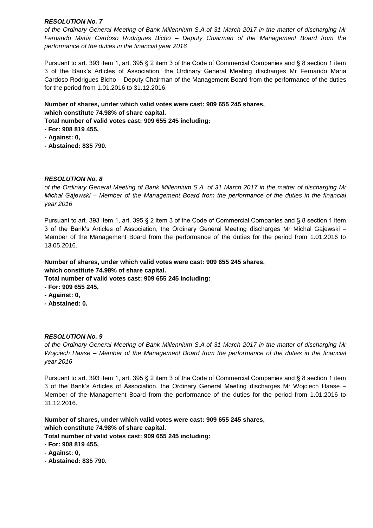*of the Ordinary General Meeting of Bank Millennium S.A.of 31 March 2017 in the matter of discharging Mr Fernando Maria Cardoso Rodrigues Bicho – Deputy Chairman of the Management Board from the performance of the duties in the financial year 2016*

Pursuant to art. 393 item 1, art. 395 § 2 item 3 of the Code of Commercial Companies and § 8 section 1 item 3 of the Bank's Articles of Association, the Ordinary General Meeting discharges Mr Fernando Maria Cardoso Rodrigues Bicho – Deputy Chairman of the Management Board from the performance of the duties for the period from 1.01.2016 to 31.12.2016.

# **Number of shares, under which valid votes were cast: 909 655 245 shares, which constitute 74.98% of share capital.**

**Total number of valid votes cast: 909 655 245 including:**

- **- For: 908 819 455,**
- **- Against: 0,**
- **- Abstained: 835 790.**

## *RESOLUTION No. 8*

*of the Ordinary General Meeting of Bank Millennium S.A. of 31 March 2017 in the matter of discharging Mr Michał Gajewski – Member of the Management Board from the performance of the duties in the financial year 2016*

Pursuant to art. 393 item 1, art. 395 § 2 item 3 of the Code of Commercial Companies and § 8 section 1 item 3 of the Bank's Articles of Association, the Ordinary General Meeting discharges Mr Michal Gajewski – Member of the Management Board from the performance of the duties for the period from 1.01.2016 to 13.05.2016.

## **Number of shares, under which valid votes were cast: 909 655 245 shares, which constitute 74.98% of share capital.**

**Total number of valid votes cast: 909 655 245 including:**

- **- For: 909 655 245,**
- **- Against: 0,**
- **- Abstained: 0.**

### *RESOLUTION No. 9*

*of the Ordinary General Meeting of Bank Millennium S.A.of 31 March 2017 in the matter of discharging Mr Wojciech Haase – Member of the Management Board from the performance of the duties in the financial year 2016*

Pursuant to art. 393 item 1, art. 395 § 2 item 3 of the Code of Commercial Companies and § 8 section 1 item 3 of the Bank's Articles of Association, the Ordinary General Meeting discharges Mr Wojciech Haase – Member of the Management Board from the performance of the duties for the period from 1.01.2016 to 31.12.2016.

**Number of shares, under which valid votes were cast: 909 655 245 shares, which constitute 74.98% of share capital.**

- **- For: 908 819 455,**
- **- Against: 0,**
- **- Abstained: 835 790.**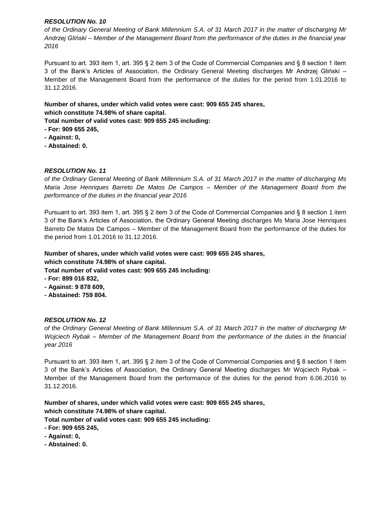*of the Ordinary General Meeting of Bank Millennium S.A. of 31 March 2017 in the matter of discharging Mr Andrzej Gliński – Member of the Management Board from the performance of the duties in the financial year 2016*

Pursuant to art. 393 item 1, art. 395 § 2 item 3 of the Code of Commercial Companies and § 8 section 1 item 3 of the Bank's Articles of Association, the Ordinary General Meeting discharges Mr Andrzej Gliński – Member of the Management Board from the performance of the duties for the period from 1.01.2016 to 31.12.2016.

## **Number of shares, under which valid votes were cast: 909 655 245 shares, which constitute 74.98% of share capital.**

**Total number of valid votes cast: 909 655 245 including:**

- **- For: 909 655 245,**
- **- Against: 0,**
- **- Abstained: 0.**

## *RESOLUTION No. 11*

*of the Ordinary General Meeting of Bank Millennium S.A. of 31 March 2017 in the matter of discharging Ms Maria Jose Henriques Barreto De Matos De Campos – Member of the Management Board from the performance of the duties in the financial year 2016*

Pursuant to art. 393 item 1, art. 395 § 2 item 3 of the Code of Commercial Companies and § 8 section 1 item 3 of the Bank's Articles of Association, the Ordinary General Meeting discharges Ms Maria Jose Henriques Barreto De Matos De Campos – Member of the Management Board from the performance of the duties for the period from 1.01.2016 to 31.12.2016.

**Number of shares, under which valid votes were cast: 909 655 245 shares, which constitute 74.98% of share capital.**

**Total number of valid votes cast: 909 655 245 including:**

- **- For: 899 016 832,**
- **- Against: 9 878 609,**
- **- Abstained: 759 804.**

### *RESOLUTION No. 12*

*of the Ordinary General Meeting of Bank Millennium S.A. of 31 March 2017 in the matter of discharging Mr Wojciech Rybak – Member of the Management Board from the performance of the duties in the financial year 2016*

Pursuant to art. 393 item 1, art. 395 § 2 item 3 of the Code of Commercial Companies and § 8 section 1 item 3 of the Bank's Articles of Association, the Ordinary General Meeting discharges Mr Wojciech Rybak – Member of the Management Board from the performance of the duties for the period from 6.06.2016 to 31.12.2016.

**Number of shares, under which valid votes were cast: 909 655 245 shares, which constitute 74.98% of share capital.**

- **- For: 909 655 245,**
- **- Against: 0,**
- **- Abstained: 0.**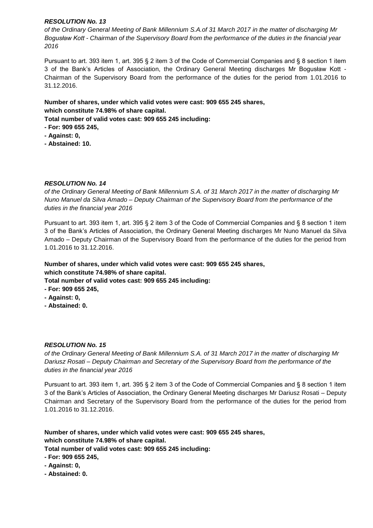*of the Ordinary General Meeting of Bank Millennium S.A.of 31 March 2017 in the matter of discharging Mr Bogusław Kott - Chairman of the Supervisory Board from the performance of the duties in the financial year 2016*

Pursuant to art. 393 item 1, art. 395 § 2 item 3 of the Code of Commercial Companies and § 8 section 1 item 3 of the Bank's Articles of Association, the Ordinary General Meeting discharges Mr Bogusław Kott - Chairman of the Supervisory Board from the performance of the duties for the period from 1.01.2016 to 31.12.2016.

## **Number of shares, under which valid votes were cast: 909 655 245 shares, which constitute 74.98% of share capital.**

**Total number of valid votes cast: 909 655 245 including:**

- **- For: 909 655 245,**
- **- Against: 0,**
- **- Abstained: 10.**

## *RESOLUTION No. 14*

*of the Ordinary General Meeting of Bank Millennium S.A. of 31 March 2017 in the matter of discharging Mr Nuno Manuel da Silva Amado – Deputy Chairman of the Supervisory Board from the performance of the duties in the financial year 2016*

Pursuant to art. 393 item 1, art. 395 § 2 item 3 of the Code of Commercial Companies and § 8 section 1 item 3 of the Bank's Articles of Association, the Ordinary General Meeting discharges Mr Nuno Manuel da Silva Amado – Deputy Chairman of the Supervisory Board from the performance of the duties for the period from 1.01.2016 to 31.12.2016.

## **Number of shares, under which valid votes were cast: 909 655 245 shares, which constitute 74.98% of share capital.**

**Total number of valid votes cast: 909 655 245 including:**

- **- For: 909 655 245,**
- **- Against: 0,**
- **- Abstained: 0.**

### *RESOLUTION No. 15*

*of the Ordinary General Meeting of Bank Millennium S.A. of 31 March 2017 in the matter of discharging Mr Dariusz Rosati – Deputy Chairman and Secretary of the Supervisory Board from the performance of the duties in the financial year 2016*

Pursuant to art. 393 item 1, art. 395 § 2 item 3 of the Code of Commercial Companies and § 8 section 1 item 3 of the Bank's Articles of Association, the Ordinary General Meeting discharges Mr Dariusz Rosati – Deputy Chairman and Secretary of the Supervisory Board from the performance of the duties for the period from 1.01.2016 to 31.12.2016.

**Number of shares, under which valid votes were cast: 909 655 245 shares, which constitute 74.98% of share capital. Total number of valid votes cast: 909 655 245 including:**

- **- For: 909 655 245,**
- **- Against: 0,**
- **- Abstained: 0.**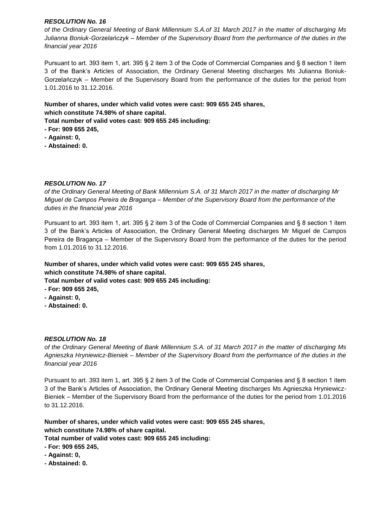*of the Ordinary General Meeting of Bank Millennium S.A.of 31 March 2017 in the matter of discharging Ms Julianna Boniuk-Gorzelańczyk – Member of the Supervisory Board from the performance of the duties in the financial year 2016*

Pursuant to art. 393 item 1, art. 395 § 2 item 3 of the Code of Commercial Companies and § 8 section 1 item 3 of the Bank's Articles of Association, the Ordinary General Meeting discharges Ms Julianna Boniuk-Gorzelańczyk – Member of the Supervisory Board from the performance of the duties for the period from 1.01.2016 to 31.12.2016.

**Number of shares, under which valid votes were cast: 909 655 245 shares, which constitute 74.98% of share capital.**

**Total number of valid votes cast: 909 655 245 including:**

- **- For: 909 655 245,**
- **- Against: 0,**
- **- Abstained: 0.**

## *RESOLUTION No. 17*

*of the Ordinary General Meeting of Bank Millennium S.A. of 31 March 2017 in the matter of discharging Mr Miguel de Campos Pereira de Bragança – Member of the Supervisory Board from the performance of the duties in the financial year 2016*

Pursuant to art. 393 item 1, art. 395 § 2 item 3 of the Code of Commercial Companies and § 8 section 1 item 3 of the Bank's Articles of Association, the Ordinary General Meeting discharges Mr Miguel de Campos Pereira de Bragança – Member of the Supervisory Board from the performance of the duties for the period from 1.01.2016 to 31.12.2016.

## **Number of shares, under which valid votes were cast: 909 655 245 shares, which constitute 74.98% of share capital.**

**Total number of valid votes cast: 909 655 245 including:**

- **- For: 909 655 245,**
- **- Against: 0,**
- **- Abstained: 0.**

### *RESOLUTION No. 18*

*of the Ordinary General Meeting of Bank Millennium S.A. of 31 March 2017 in the matter of discharging Ms Agnieszka Hryniewicz-Bieniek – Member of the Supervisory Board from the performance of the duties in the financial year 2016*

Pursuant to art. 393 item 1, art. 395 § 2 item 3 of the Code of Commercial Companies and § 8 section 1 item 3 of the Bank's Articles of Association, the Ordinary General Meeting discharges Ms Agnieszka Hryniewicz-Bieniek – Member of the Supervisory Board from the performance of the duties for the period from 1.01.2016 to 31.12.2016.

**Number of shares, under which valid votes were cast: 909 655 245 shares, which constitute 74.98% of share capital.**

**Total number of valid votes cast: 909 655 245 including:**

**- For: 909 655 245,**

- **- Against: 0,**
- **- Abstained: 0.**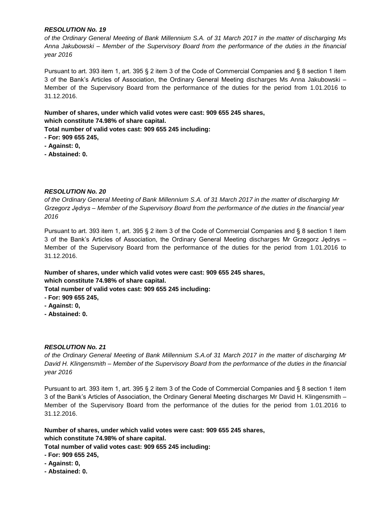*of the Ordinary General Meeting of Bank Millennium S.A. of 31 March 2017 in the matter of discharging Ms Anna Jakubowski – Member of the Supervisory Board from the performance of the duties in the financial year 2016*

Pursuant to art. 393 item 1, art. 395 § 2 item 3 of the Code of Commercial Companies and § 8 section 1 item 3 of the Bank's Articles of Association, the Ordinary General Meeting discharges Ms Anna Jakubowski – Member of the Supervisory Board from the performance of the duties for the period from 1.01.2016 to 31.12.2016.

# **Number of shares, under which valid votes were cast: 909 655 245 shares, which constitute 74.98% of share capital.**

**Total number of valid votes cast: 909 655 245 including:**

- **- For: 909 655 245,**
- **- Against: 0,**
- **- Abstained: 0.**

## *RESOLUTION No. 20*

*of the Ordinary General Meeting of Bank Millennium S.A. of 31 March 2017 in the matter of discharging Mr Grzegorz Jędrys – Member of the Supervisory Board from the performance of the duties in the financial year 2016*

Pursuant to art. 393 item 1, art. 395 § 2 item 3 of the Code of Commercial Companies and § 8 section 1 item 3 of the Bank's Articles of Association, the Ordinary General Meeting discharges Mr Grzegorz Jędrys – Member of the Supervisory Board from the performance of the duties for the period from 1.01.2016 to 31.12.2016.

## **Number of shares, under which valid votes were cast: 909 655 245 shares, which constitute 74.98% of share capital.**

**Total number of valid votes cast: 909 655 245 including:**

- **- For: 909 655 245,**
- **- Against: 0,**
- **- Abstained: 0.**

### *RESOLUTION No. 21*

*of the Ordinary General Meeting of Bank Millennium S.A.of 31 March 2017 in the matter of discharging Mr David H. Klingensmith – Member of the Supervisory Board from the performance of the duties in the financial year 2016*

Pursuant to art. 393 item 1, art. 395 § 2 item 3 of the Code of Commercial Companies and § 8 section 1 item 3 of the Bank's Articles of Association, the Ordinary General Meeting discharges Mr David H. Klingensmith – Member of the Supervisory Board from the performance of the duties for the period from 1.01.2016 to 31.12.2016.

**Number of shares, under which valid votes were cast: 909 655 245 shares, which constitute 74.98% of share capital.**

- **- For: 909 655 245,**
- **- Against: 0,**
- **- Abstained: 0.**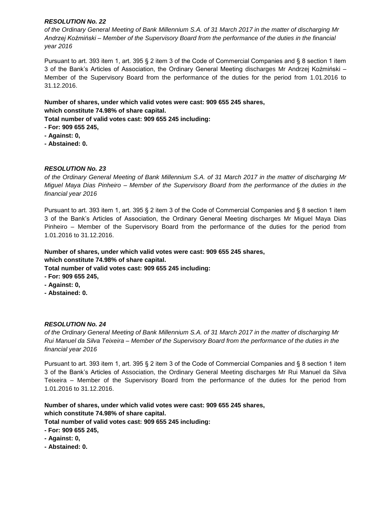*of the Ordinary General Meeting of Bank Millennium S.A. of 31 March 2017 in the matter of discharging Mr Andrzej Koźmiński – Member of the Supervisory Board from the performance of the duties in the financial year 2016*

Pursuant to art. 393 item 1, art. 395 § 2 item 3 of the Code of Commercial Companies and § 8 section 1 item 3 of the Bank's Articles of Association, the Ordinary General Meeting discharges Mr Andrzej Koźmiński – Member of the Supervisory Board from the performance of the duties for the period from 1.01.2016 to 31.12.2016.

## **Number of shares, under which valid votes were cast: 909 655 245 shares, which constitute 74.98% of share capital.**

**Total number of valid votes cast: 909 655 245 including:**

- **- For: 909 655 245,**
- **- Against: 0,**
- **- Abstained: 0.**

## *RESOLUTION No. 23*

*of the Ordinary General Meeting of Bank Millennium S.A. of 31 March 2017 in the matter of discharging Mr Miguel Maya Dias Pinheiro – Member of the Supervisory Board from the performance of the duties in the financial year 2016*

Pursuant to art. 393 item 1, art. 395 § 2 item 3 of the Code of Commercial Companies and § 8 section 1 item 3 of the Bank's Articles of Association, the Ordinary General Meeting discharges Mr Miguel Maya Dias Pinheiro – Member of the Supervisory Board from the performance of the duties for the period from 1.01.2016 to 31.12.2016.

**Number of shares, under which valid votes were cast: 909 655 245 shares, which constitute 74.98% of share capital.**

**Total number of valid votes cast: 909 655 245 including:**

- **- For: 909 655 245,**
- **- Against: 0,**
- **- Abstained: 0.**

### *RESOLUTION No. 24*

*of the Ordinary General Meeting of Bank Millennium S.A. of 31 March 2017 in the matter of discharging Mr Rui Manuel da Silva Teixeira – Member of the Supervisory Board from the performance of the duties in the financial year 2016*

Pursuant to art. 393 item 1, art. 395 § 2 item 3 of the Code of Commercial Companies and § 8 section 1 item 3 of the Bank's Articles of Association, the Ordinary General Meeting discharges Mr Rui Manuel da Silva Teixeira – Member of the Supervisory Board from the performance of the duties for the period from 1.01.2016 to 31.12.2016.

**Number of shares, under which valid votes were cast: 909 655 245 shares, which constitute 74.98% of share capital.**

- **- For: 909 655 245,**
- **- Against: 0,**
- **- Abstained: 0.**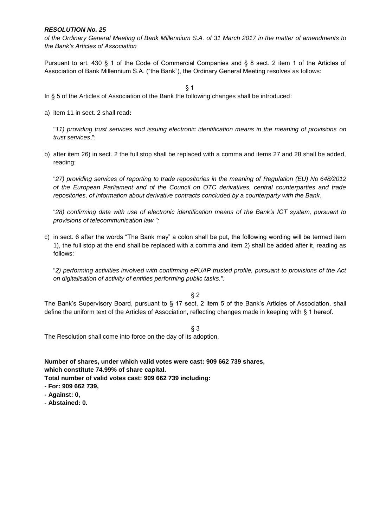*of the Ordinary General Meeting of Bank Millennium S.A. of 31 March 2017 in the matter of amendments to the Bank's Articles of Association*

Pursuant to art. 430 § 1 of the Code of Commercial Companies and § 8 sect. 2 item 1 of the Articles of Association of Bank Millennium S.A. ("the Bank"), the Ordinary General Meeting resolves as follows:

§ 1

- In § 5 of the Articles of Association of the Bank the following changes shall be introduced:
- a) item 11 in sect. 2 shall read**:**

"*11) providing trust services and issuing electronic identification means in the meaning of provisions on trust services*,";

b) after item 26) in sect. 2 the full stop shall be replaced with a comma and items 27 and 28 shall be added, reading:

"*27) providing services of reporting to trade repositories in the meaning of Regulation (EU) No 648/2012 of the European Parliament and of the Council on OTC derivatives, central counterparties and trade repositories, of information about derivative contracts concluded by a counterparty with the Bank*,

"*28) confirming data with use of electronic identification means of the Bank's ICT system, pursuant to provisions of telecommunication law.";*

c) in sect. 6 after the words "The Bank may" a colon shall be put, the following wording will be termed item 1), the full stop at the end shall be replaced with a comma and item 2) shall be added after it, reading as follows:

"*2) performing activities involved with confirming ePUAP trusted profile, pursuant to provisions of the Act on digitalisation of activity of entities performing public tasks.".*

 $§$  2

The Bank's Supervisory Board, pursuant to § 17 sect. 2 item 5 of the Bank's Articles of Association, shall define the uniform text of the Articles of Association, reflecting changes made in keeping with § 1 hereof.

§ 3

The Resolution shall come into force on the day of its adoption.

**Number of shares, under which valid votes were cast: 909 662 739 shares, which constitute 74.99% of share capital.**

- **- For: 909 662 739,**
- **- Against: 0,**
- **- Abstained: 0.**